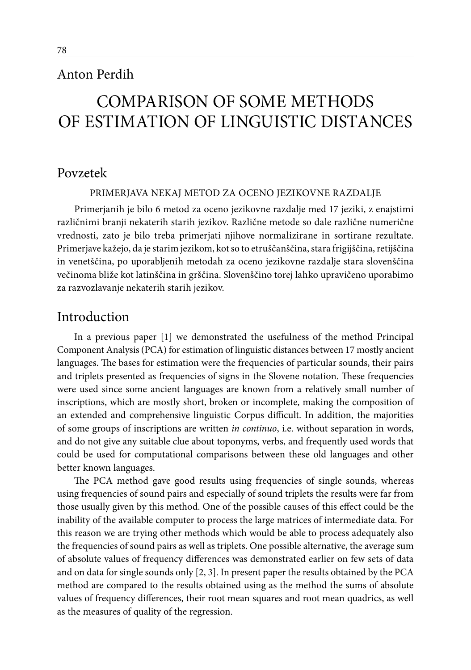## Anton Perdih

# Comparison of some methods of estimation of linguistic distances

### Povzetek

Primerjava nekaj metod za oceno jezikovne razdalje

Primerjanih je bilo 6 metod za oceno jezikovne razdalje med 17 jeziki, z enajstimi različnimi branji nekaterih starih jezikov. Različne metode so dale različne numerične vrednosti, zato je bilo treba primerjati njihove normalizirane in sortirane rezultate. Primerjave kažejo, da je starim jezikom, kot so to etruščanščina, stara frigijščina, retijščina in venetščina, po uporabljenih metodah za oceno jezikovne razdalje stara slovenščina večinoma bliže kot latinščina in grščina. Slovenščino torej lahko upravičeno uporabimo za razvozlavanje nekaterih starih jezikov.

### Introduction

In a previous paper [1] we demonstrated the usefulness of the method Principal Component Analysis (PCA) for estimation of linguistic distances between 17 mostly ancient languages. The bases for estimation were the frequencies of particular sounds, their pairs and triplets presented as frequencies of signs in the Slovene notation. These frequencies were used since some ancient languages are known from a relatively small number of inscriptions, which are mostly short, broken or incomplete, making the composition of an extended and comprehensive linguistic Corpus difficult. In addition, the majorities of some groups of inscriptions are written *in continuo*, i.e. without separation in words, and do not give any suitable clue about toponyms, verbs, and frequently used words that could be used for computational comparisons between these old languages and other better known languages.

The PCA method gave good results using frequencies of single sounds, whereas using frequencies of sound pairs and especially of sound triplets the results were far from those usually given by this method. One of the possible causes of this effect could be the inability of the available computer to process the large matrices of intermediate data. For this reason we are trying other methods which would be able to process adequately also the frequencies of sound pairs as well as triplets. One possible alternative, the average sum of absolute values of frequency differences was demonstrated earlier on few sets of data and on data for single sounds only [2, 3]. In present paper the results obtained by the PCA method are compared to the results obtained using as the method the sums of absolute values of frequency differences, their root mean squares and root mean quadrics, as well as the measures of quality of the regression.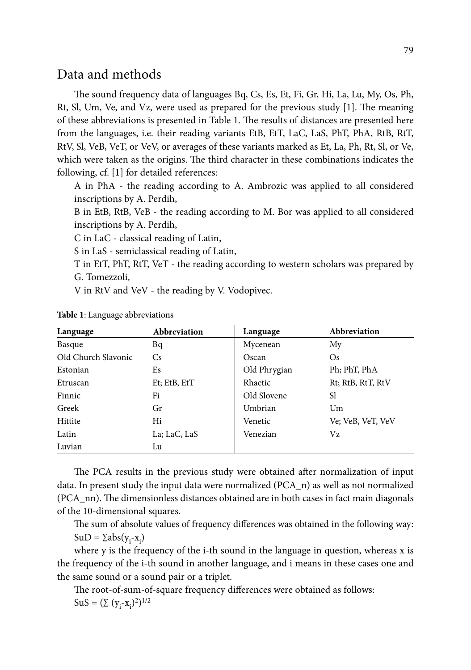### Data and methods

The sound frequency data of languages Bq, Cs, Es, Et, Fi, Gr, Hi, La, Lu, My, Os, Ph, Rt, Sl, Um, Ve, and Vz, were used as prepared for the previous study [1]. The meaning of these abbreviations is presented in Table 1. The results of distances are presented here from the languages, i.e. their reading variants EtB, EtT, LaC, LaS, PhT, PhA, RtB, RtT, RtV, Sl, VeB, VeT, or VeV, or averages of these variants marked as Et, La, Ph, Rt, Sl, or Ve, which were taken as the origins. The third character in these combinations indicates the following, cf. [1] for detailed references:

A in PhA - the reading according to A. Ambrozic was applied to all considered inscriptions by A. Perdih,

B in EtB, RtB, VeB - the reading according to M. Bor was applied to all considered inscriptions by A. Perdih,

C in LaC - classical reading of Latin,

S in LaS - semiclassical reading of Latin,

T in EtT, PhT, RtT, VeT - the reading according to western scholars was prepared by G. Tomezzoli,

V in RtV and VeV - the reading by V. Vodopivec.

| Language            | Abbreviation | Language     | Abbreviation      |
|---------------------|--------------|--------------|-------------------|
| Basque              | Bq           | Mycenean     | My                |
| Old Church Slavonic | Cs.          | Oscan        | <b>Os</b>         |
| Estonian            | Es           | Old Phrygian | Ph; PhT, PhA      |
| Etruscan            | Et; EtB, EtT | Rhaetic      | Rt; RtB, RtT, RtV |
| Finnic              | Fi           | Old Slovene  | Sl                |
| Greek               | Gr           | Umbrian      | Um                |
| Hittite             | Hi           | Venetic      | Ve; VeB, VeT, VeV |
| Latin               | La; LaC, LaS | Venezian     | Vz                |
| Luvian              | Lu           |              |                   |

**Table 1**: Language abbreviations

The PCA results in the previous study were obtained after normalization of input data. In present study the input data were normalized (PCA\_n) as well as not normalized (PCA\_nn). The dimensionless distances obtained are in both cases in fact main diagonals of the 10-dimensional squares.

The sum of absolute values of frequency differences was obtained in the following way:  $SuD = \sum abs(y_i - x_i)$ 

where y is the frequency of the i-th sound in the language in question, whereas x is the frequency of the i-th sound in another language, and i means in these cases one and the same sound or a sound pair or a triplet.

The root-of-sum-of-square frequency differences were obtained as follows:  $\text{SuS} = (\Sigma (y_i - x_i)^2)^{1/2}$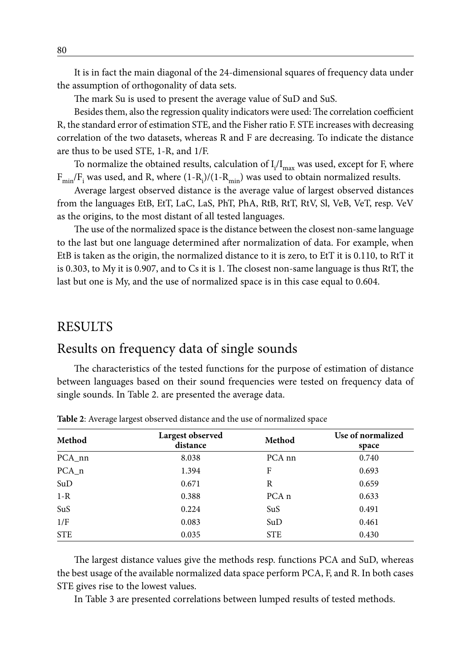It is in fact the main diagonal of the 24-dimensional squares of frequency data under the assumption of orthogonality of data sets.

The mark Su is used to present the average value of SuD and SuS.

Besides them, also the regression quality indicators were used: The correlation coefficient R, the standard error of estimation STE, and the Fisher ratio F. STE increases with decreasing correlation of the two datasets, whereas R and F are decreasing. To indicate the distance are thus to be used STE, 1-R, and 1/F.

To normalize the obtained results, calculation of  $\rm I_i/I_{max}$  was used, except for F, where  $\rm F_{min}/F_i$  was used, and R, where (1-R<sub>i</sub>)/(1-R<sub>min</sub>) was used to obtain normalized results.

Average largest observed distance is the average value of largest observed distances from the languages EtB, EtT, LaC, LaS, PhT, PhA, RtB, RtT, RtV, Sl, VeB, VeT, resp. VeV as the origins, to the most distant of all tested languages.

The use of the normalized space is the distance between the closest non-same language to the last but one language determined after normalization of data. For example, when EtB is taken as the origin, the normalized distance to it is zero, to EtT it is 0.110, to RtT it is 0.303, to My it is 0.907, and to Cs it is 1. The closest non-same language is thus RtT, the last but one is My, and the use of normalized space is in this case equal to 0.604.

### RESULTS

# Results on frequency data of single sounds

The characteristics of the tested functions for the purpose of estimation of distance between languages based on their sound frequencies were tested on frequency data of single sounds. In Table 2. are presented the average data.

| Method     | Largest observed<br>distance | Method            | Use of normalized<br>space |
|------------|------------------------------|-------------------|----------------------------|
| PCA_nn     | 8.038                        | PCA <sub>nn</sub> | 0.740                      |
| $PCA_n$    | 1.394                        | F                 | 0.693                      |
| SuD        | 0.671                        | R                 | 0.659                      |
| $1 - R$    | 0.388                        | PCA <sub>n</sub>  | 0.633                      |
| SuS        | 0.224                        | SuS               | 0.491                      |
| 1/F        | 0.083                        | SuD               | 0.461                      |
| <b>STE</b> | 0.035                        | <b>STE</b>        | 0.430                      |

**Table 2**: Average largest observed distance and the use of normalized space

The largest distance values give the methods resp. functions PCA and SuD, whereas the best usage of the available normalized data space perform PCA, F, and R. In both cases STE gives rise to the lowest values.

In Table 3 are presented correlations between lumped results of tested methods.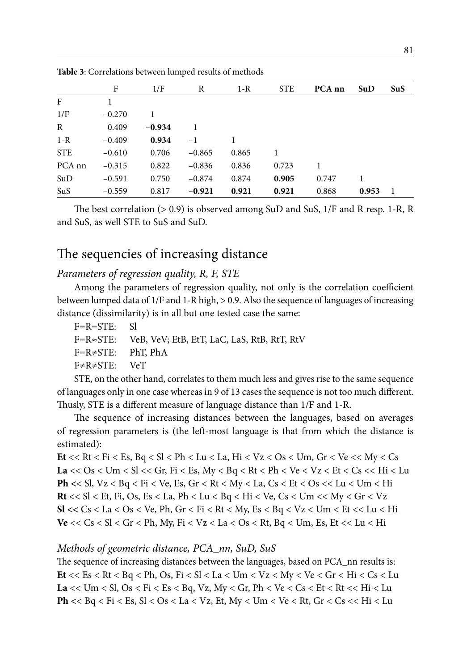|                   | F        | 1/F      | R        | $1 - R$ | <b>STE</b> | PCA nn | SuD   | SuS |
|-------------------|----------|----------|----------|---------|------------|--------|-------|-----|
| F                 |          |          |          |         |            |        |       |     |
| 1/F               | $-0.270$ | 1        |          |         |            |        |       |     |
| $\mathbb{R}$      | 0.409    | $-0.934$ |          |         |            |        |       |     |
| $1 - R$           | $-0.409$ | 0.934    | $-1$     |         |            |        |       |     |
| <b>STE</b>        | $-0.610$ | 0.706    | $-0.865$ | 0.865   | 1          |        |       |     |
| PCA <sub>nn</sub> | $-0.315$ | 0.822    | $-0.836$ | 0.836   | 0.723      |        |       |     |
| SuD               | $-0.591$ | 0.750    | $-0.874$ | 0.874   | 0.905      | 0.747  | 1     |     |
| SuS               | $-0.559$ | 0.817    | $-0.921$ | 0.921   | 0.921      | 0.868  | 0.953 | -1  |

**Table 3**: Correlations between lumped results of methods

The best correlation (> 0.9) is observed among SuD and SuS, 1/F and R resp. 1-R, R and SuS, as well STE to SuS and SuD.

# The sequencies of increasing distance

#### *Parameters of regression quality, R, F, STE*

Among the parameters of regression quality, not only is the correlation coefficient between lumped data of 1/F and 1-R high, > 0.9. Also the sequence of languages of increasing distance (dissimilarity) is in all but one tested case the same:

- F=R=STE: Sl
- F=R≈STE: VeB, VeV; EtB, EtT, LaC, LaS, RtB, RtT, RtV
- F=R≠STE: PhT, PhA
- F≠R≠STE: VeT

STE, on the other hand, correlates to them much less and gives rise to the same sequence of languages only in one case whereas in 9 of 13 cases the sequence is not too much different. Thusly, STE is a different measure of language distance than 1/F and 1-R.

The sequence of increasing distances between the languages, based on averages of regression parameters is (the left-most language is that from which the distance is estimated):

**Et** << Rt < Fi < Es, Bq < Sl < Ph < Lu < La, Hi < Vz < Os < Um, Gr < Ve << My < Cs La <<  $Os$  <  $Um$  <  $Sl$  <<  $Gr$ ,  $Fi$  <  $Es$ ,  $My$  <  $Bq$  <  $Rt$  <  $Ph$  <  $Ve$  <  $Vz$  <  $Et$  <  $Cs$  <  $Hi$  <  $Lu$ **Ph <**< Sl, Vz < Bq < Fi < Ve, Es, Gr < Rt < My < La, Cs < Et < Os << Lu < Um < Hi **Rt** << Sl < Et, Fi, Os, Es < La, Ph < Lu < Bq < Hi < Ve, Cs < Um << My < Gr < Vz **Sl** <<  $Cs$  <  $La$  <  $Os$  <  $Ve$ ,  $Ph$ ,  $Gr$  <  $Fi$  <  $Rt$  <  $My$ ,  $Es$  <  $Bq$  <  $Vz$  <  $Um$  <  $Et$  <<  $Lu$  <  $Hi$ **Ve** << Cs < Sl < Gr < Ph, My, Fi < Vz < La < Os < Rt, Bq < Um, Es, Et << Lu < Hi

#### *Methods of geometric distance, PCA\_nn, SuD, SuS*

The sequence of increasing distances between the languages, based on PCA nn results is: **Et** << Es < Rt < Bq < Ph, Os, Fi < Sl < La < Um < Vz < My < Ve < Gr < Hi < Cs < Lu La  $<<$  Um  $<$  Sl, Os  $<$  Fi  $<$  Es  $<$  Bq, Vz, My  $<$  Gr, Ph  $<$  Ve  $<$  Cs  $<$  Et  $<$  Rt  $<<$  Hi  $<$  Lu **Ph <**< Bq < Fi < Es, Sl < Os < La < Vz, Et, My < Um < Ve < Rt, Gr < Cs << Hi < Lu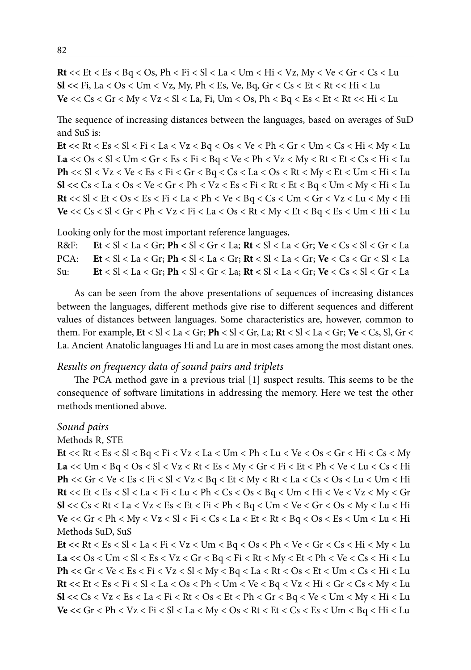$Rt \ll Et \ll Es \ll Bq \ll Os$ ,  $Ph \ll Fi \ll SI \ll La \ll Um \ll Hi \ll Vz$ ,  $My \ll Ve \ll Gr \ll Cs \ll Lu$  $SI \ll Fi$ , La  $\lt$  Os  $\lt$  Um  $\lt$  Vz, My, Ph  $\lt$  Es, Ve, Bq, Gr  $\lt$  Cs  $\lt$  Et  $\lt$  Rt  $\lt$   $\lt$  Hi  $\lt$  Lu  $Ve \ll Cs \lt Gr \lt My \lt Vz \lt Sl \lt La$ , Fi, Um  $\lt Os$ , Ph  $\lt Bq \lt Es \lt Et \lt Rt \lt \lt Hi \lt Lu$ 

The sequence of increasing distances between the languages, based on averages of SuD and SuS is:

Et << Rt < Es < Sl < Fi < La < Vz < Bq < Os < Ve < Ph < Gr < Um < Cs < Hi < My < Lu  $La << Os < Sl < Um < Gr < Es < Fi < Bq < Ve < Ph < Vz < My < Rt < Et < Cs < Hi < Lu$  $Ph \ll SI \lt Vz \lt Ve \lt Es \lt Fi \lt Gr \lt Bq \lt Cs \lt La \lt Os \lt Rt \lt My \lt Et \lt Um \lt Hi \lt Lu$  $SI << Cs < La < Os < Ve < Gr < Ph < Vz < Es < Fi < Rt < Et < Bq < Um < My < Hi < Lu$  $Rt \ll SI \lt Et \lt Os \lt Es \lt Fi \lt La \lt Ph \lt Ve \lt Bq \lt Cs \lt Um \lt Gr \lt Vz \lt Lu \lt My \lt Hi$ Ve << Cs < Sl < Gr < Ph < Vz < Fi < La < Os < Rt < My < Et < Bq < Es < Um < Hi < Lu

Looking only for the most important reference languages,

 $Et < SI < La < Gr$ ;  $Ph < SI < Gr < La$ ;  $Rt < SI < La < Gr$ ;  $Ve < Cs < SI < Gr < La$  $R&F$ :  $PCA:$  $Et < SI < La < Gr$ ;  $Ph < SI < La < Gr$ ;  $Rt < SI < La < Gr$ ;  $Ve < Cs < Gr < SI < La$ Su:  $\text{Et} < \text{SI} < \text{La} < \text{Gr}$ ;  $\text{Ph} < \text{SI} < \text{Gr} < \text{La}$ ;  $\text{Rt} < \text{SI} < \text{La} < \text{Gr}$ ;  $\text{Ve} < \text{Cs} < \text{SI} < \text{Gr} < \text{La}$ 

As can be seen from the above presentations of sequences of increasing distances between the languages, different methods give rise to different sequences and different values of distances between languages. Some characteristics are, however, common to them. For example,  $Et < SI < La < Gr$ ;  $Ph < SI < Gr$ ,  $La$ ;  $Rt < SI < La < Gr$ ;  $Ve < Cs$ ,  $Sl$ ,  $Gr <$ La. Ancient Anatolic languages Hi and Lu are in most cases among the most distant ones.

#### Results on frequency data of sound pairs and triplets

The PCA method gave in a previous trial [1] suspect results. This seems to be the consequence of software limitations in addressing the memory. Here we test the other methods mentioned above.

#### Sound pairs

Methods R, STE

Et << Rt < Es < Sl < Bq < Fi < Vz < La < Um < Ph < Lu < Ve < Os < Gr < Hi < Cs < My La << Um < Bq < Os < Sl < Vz < Rt < Es < My < Gr < Fi < Et < Ph < Ve < Lu < Cs < Hi  $\textbf{Ph} << \textbf{Gr} < \textbf{Ve} < \textbf{E} s < \textbf{Fi} < \textbf{Sl} < \textbf{V} z < \textbf{Bq} < \textbf{Et} < \textbf{M} y < \textbf{Rt} < \textbf{La} < \textbf{Cs} < \textbf{O} s < \textbf{Lu} < \textbf{Um} < \textbf{Hi}$  $Rt \ll Et \ll Es \ll SI \ll La \ll Fi \ll Lu \ll Ph \ll Cs \ll Os \ll Bq \ll Um \ll Hi \ll Ve \ll Vz \ll My \ll Gr$  $SI << Cs < Rt < La < Vz < Es < Et < Fi < Ph < Bq < Um < Ve < Gr < Os < My < Lu$ Ve << Gr < Ph < My < Vz < Sl < Fi < Cs < La < Et < Rt < Bq < Os < Es < Um < Lu < Hi Methods SuD, SuS

Et << Rt < Es < Sl < La < Fi < Vz < Um < Bq < Os < Ph < Ve < Gr < Cs < Hi < My < Lu La <<  $Os$  <  $Um$  <  $Sl$  <  $Es$  <  $Vz$  <  $Gr$  <  $Bq$  <  $Fi$  <  $Rt$  <  $My$  <  $Et$  <  $Ph$  <  $Ve$  <  $Cs$  <  $Hi$  <  $Lu$  $Ph << Gr < Ve < Es < Fi < Vz < Sl < My < Bq < La < Rt < Os < Et < Um < Cs < Hi < Lu$  $Rt \ll Et \ll Es \ll Fi \ll SI \ll La \ll Os \ll Ph \ll Um \ll Ve \ll Bq \ll Vz \ll Hi \ll Gr \ll Cs \ll My \ll Lu$  $SI << Cs < Vz < Es < La < Fi < Rt < Os < Et < Ph < Gr < Bq < Ve < Um < My < Hi < Lu$ Ve << Gr < Ph < Vz < Fi < Sl < La < My < Os < Rt < Et < Cs < Es < Um < Bq < Hi < Lu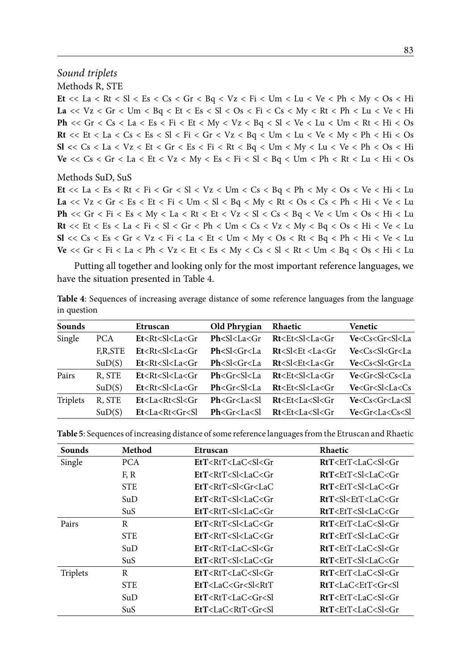#### Sound triplets

Methods R, STE

Et << La < Rt < Sl < Es < Cs < Gr < Bq < Vz < Fi < Um < Lu < Ve < Ph < My < Os < Hi La <<  $Vz < Gr < Um < Bq < Et < Es < Sl < Os < Fi < Cs < My < At < Ph < Lu < Ve < Hi$ Ph <<  $Gr < Cs < La < Es < Fi < Et < My < Vz < Bq < Sl < Ve < Lu < Um < RI < Hi>$  $Rt \ll Et \lt Ia \lt Cs \lt Es \lt SI \lt Fi \lt Gr \lt Vz \lt Bq \lt Um \lt Lu \lt Ve \lt My \lt Ph \lt Hi \lt Os$  $SI << Cs < La < Vz < Et < Gr < Es < Fi < Rt < Bq < Um < My < Lu < Ve < Ph < Os$ Ve << Cs < Gr < La < Et < Vz < My < Es < Fi < Sl < Bq < Um < Ph < Rt < Lu < Hi < Os

#### Methods SuD, SuS

Et << La < Es < Rt < Fi < Gr < Sl < Vz < Um < Cs < Bq < Ph < My < Os < Ve < Hi < Lu La <<  $Vz < Gr < Es < Et < Fi < Um < SI < Bq < My < Rt < Os < Cs < Ph < Hi < Ve < Lu$ **Ph** << Gr < Fi < Es < My < La < Rt < Et < Vz < Sl < Cs < Bq < Ve < Um < Os < Hi < Lu  $Rt \ll Et \ll Es \ll La \ll Fi \ll Sl \ll Gr \ll Ph \ll Um \ll Cs \ll Vz \ll My \ll Bq \ll Os \ll Hi \ll Ve \ll Lu$  $SI << Cs < Es < Gr < Vz < Fi < La < Et < Um < My < Os < Rt < Bq < Ph < Hi < Ve < Lu$ Ve << Gr < Fi < La < Ph < Vz < Et < Es < My < Cs < Sl < Rt < Um < Bq < Os < Hi < Lu

Putting all together and looking only for the most important reference languages, we have the situation presented in Table 4.

Table 4: Sequences of increasing average distance of some reference languages from the language in question

| Sounds   |         | Etruscan                    | Old Phrygian        | Rhaetic                                                                                                                 | Venetic                     |
|----------|---------|-----------------------------|---------------------|-------------------------------------------------------------------------------------------------------------------------|-----------------------------|
| Single   | PCA.    | Et < Rt < Sl < La < Gr      | Ph < S l < L a < Gr | Rt <et<sl<la<gr< td=""><td><math>Ve &lt; Cs &lt; Gr &lt; S</math> &lt; <math>La</math></td></et<sl<la<gr<>              | $Ve < Cs < Gr < S$ < $La$   |
|          | F,R,STE | $Et < Rt < S$ $I < La < Gr$ | Ph < S l < Gr < La  | Rt < S l < E t < La < Gr                                                                                                | $Ve < Cs < S$ $<$ Gr $<$ La |
|          | SuD(S)  | $Et < Rt < S$ $I < La < Gr$ | Ph < S l < Gr < La  | Rt <sl<et<la<gr< td=""><td><math>Ve &lt; Cs &lt; S</math> <math>&lt;</math> <math>Gr &lt; La</math></td></sl<et<la<gr<> | $Ve < Cs < S$ $<$ $Gr < La$ |
| Pairs    | R, STE  | $Et < Rt < S$ $<$ La $<$ Gr | Ph < Gr < S l < La  | Rt <et<sl<la<gr< td=""><td><math>Ve &lt; Gr &lt; S</math> <math>&lt; Cs &lt; La</math></td></et<sl<la<gr<>              | $Ve < Gr < S$ $< Cs < La$   |
|          | SuD(S)  | Et < Rt < Sl < La < Gr      | Ph < Gr < Sl < La   | Rt < Et < Sl < La < Gr                                                                                                  | $Ve < Gr < S$ $<$ La $<$ Cs |
| Triplets | R, STE  | Et < La < Rt < S < Gr       | Ph < Gr < La < Sl   | Rt < Et < La < S < Gr                                                                                                   | Ve < Cs < Gr < La < SI      |
|          | SuD(S)  | Et < La < Rt < Gr < SI      | Ph < Gr < La < SI   | Rt < Et < La < Sl < Gr                                                                                                  | Ve < Gr < La < Cs < SI      |

| <b>Sounds</b> | Method     | Etruscan                                                                                                                                        | Rhaetic                                     |
|---------------|------------|-------------------------------------------------------------------------------------------------------------------------------------------------|---------------------------------------------|
| Single        | PCA.       | EtT <rtt<lac<sl<gr< td=""><td><math>RfT \leq EfT \leq LcC \leq S \leq Gr</math></td></rtt<lac<sl<gr<>                                           | $RfT \leq EfT \leq LcC \leq S \leq Gr$      |
|               | F, R       | $E$ f $T$ <rf<math>T<sl<la<math>C<gr< td=""><td><math>RfT \leq EfT \leq S \leq LaC \leq Gr</math></td></gr<></sl<la<math></rf<math>             | $RfT \leq EfT \leq S \leq LaC \leq Gr$      |
|               | <b>STE</b> | EtT < RtT < S < Gr < LaC                                                                                                                        | RtT <ett<sl<lac<gr< td=""></ett<sl<lac<gr<> |
|               | SuD        | $E$ f $T$ <rf<math>T<sl<la<math>C<gr< td=""><td><math>RfT &lt; S &lt; EfT &lt; I</math>.aC<math>&lt;</math>Gr</td></gr<></sl<la<math></rf<math> | $RfT < S < EfT < I$ .aC $<$ Gr              |
|               | SuS        | EtT < RtT < S < LaC < Gr                                                                                                                        | RtT < EtT < S < LaC < Gr                    |
| Pairs         | R          | EtT < RtT < S < LaC < Gr                                                                                                                        | RtT < EtT < LaC < S < Gr                    |
|               | <b>STE</b> | $E$ f $T$ <rf<math>T<sl<la<math>C<gr< td=""><td><math>RfT \leq EfT \leq S \leq LaC \leq Gr</math></td></gr<></sl<la<math></rf<math>             | $RfT \leq EfT \leq S \leq LaC \leq Gr$      |
|               | SuD        | EtT < RtT < LaC < S < Gr                                                                                                                        | $RfT \leq EfT \leq LaC \leq S \leq Gr$      |
|               | SuS        | $EtT < RtT < S$  <br>$LaC < Gr$                                                                                                                 | RtT <ett<sl<lac<gr< td=""></ett<sl<lac<gr<> |
| Triplets      | R          | EtT < RtT < LaC < S < Gr                                                                                                                        | $RfT \leq EfT \leq LaC \leq S \leq Gr$      |
|               | <b>STE</b> | EtT < LaC < Gr < Sl < RtT                                                                                                                       | RtT < LaC < EtT < Gr < SI                   |
|               | SuD        | EtT < RtT < LaC < Gr < Sl                                                                                                                       | RtT < EtT < LaC < S < Gr                    |
|               | SuS        | EtT < LaC < RtT < Gr < Sl                                                                                                                       | RtT < EtT < LaC < S < Gr                    |

Table 5: Sequences of increasing distance of some reference languages from the Etruscan and Rhaetic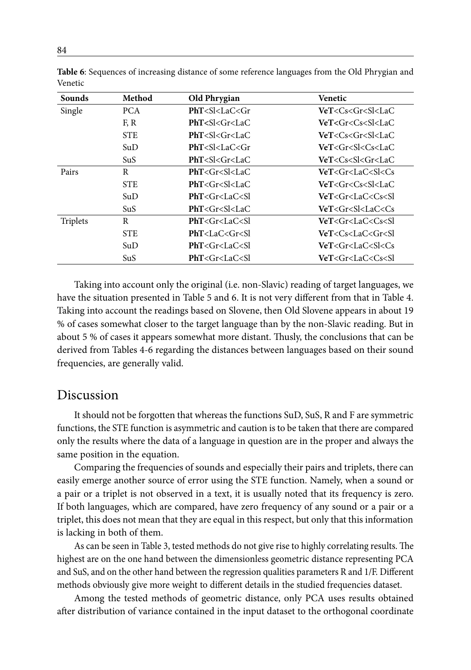| <b>Sounds</b> | Method     | Old Phrygian                                                                          | Venetic                                   |
|---------------|------------|---------------------------------------------------------------------------------------|-------------------------------------------|
| Single        | PCA.       | PhT < S < LaC < Gr                                                                    | $VeT < Cs < Gr < S$   $< LaC$             |
|               | F, R       | PhT < S < Gr < L <sub>a</sub> C                                                       | VeT <gr<cs<sl<lac< td=""></gr<cs<sl<lac<> |
|               | <b>STE</b> | PhT < S < Gr < L <sub>a</sub> C                                                       | VeT <cs<gr<sl<lac< td=""></cs<gr<sl<lac<> |
|               | SuD        | $PhT < S$ $<$ $LaC <$ $Gr$                                                            | VeT <gr<sl<cs<lac< td=""></gr<sl<cs<lac<> |
|               | SuS        | PhT < S < Gr < L <sub>a</sub> C                                                       | VeT <cs<sl<gr<lac< td=""></cs<sl<gr<lac<> |
| Pairs         | R          | $PhT < Gr < S$ $<$ LaC                                                                | VeT <gr<lac<sl<cs< td=""></gr<lac<sl<cs<> |
|               | <b>STE</b> | $PhT < Gr < S$   <lac< td=""><td>VeT<gr<cs<sl<lac< td=""></gr<cs<sl<lac<></td></lac<> | VeT <gr<cs<sl<lac< td=""></gr<cs<sl<lac<> |
|               | SuD        | PhT < Gr < LaC < Sl                                                                   | VeT <gr<lac<cs<sl< td=""></gr<lac<cs<sl<> |
|               | SuS        | $PhT < Gr < S$ $<$ LaC                                                                | VeT <gr<sl<lac<cs< td=""></gr<sl<lac<cs<> |
| Triplets      | R          | PhT < Gr < LaC < Sl                                                                   | VeT <gr<lac<cs<sl< td=""></gr<lac<cs<sl<> |
|               | <b>STE</b> | PhT < LaC < Gr < Sl                                                                   | VeT <cs<lac<gr<sl< td=""></cs<lac<gr<sl<> |
|               | SuD        | PhT < Gr < LaC < Sl                                                                   | VeT <gr<lac<sl<cs< td=""></gr<lac<sl<cs<> |
|               | SuS        | PhT < Gr < LaC < Sl                                                                   | VeT < Gr < LaC < Cs < SI                  |

**Table 6**: Sequences of increasing distance of some reference languages from the Old Phrygian and Venetic

Taking into account only the original (i.e. non-Slavic) reading of target languages, we have the situation presented in Table 5 and 6. It is not very different from that in Table 4. Taking into account the readings based on Slovene, then Old Slovene appears in about 19 % of cases somewhat closer to the target language than by the non-Slavic reading. But in about 5 % of cases it appears somewhat more distant. Thusly, the conclusions that can be derived from Tables 4-6 regarding the distances between languages based on their sound frequencies, are generally valid.

### Discussion

It should not be forgotten that whereas the functions SuD, SuS, R and F are symmetric functions, the STE function is asymmetric and caution is to be taken that there are compared only the results where the data of a language in question are in the proper and always the same position in the equation.

Comparing the frequencies of sounds and especially their pairs and triplets, there can easily emerge another source of error using the STE function. Namely, when a sound or a pair or a triplet is not observed in a text, it is usually noted that its frequency is zero. If both languages, which are compared, have zero frequency of any sound or a pair or a triplet, this does not mean that they are equal in this respect, but only that this information is lacking in both of them.

As can be seen in Table 3, tested methods do not give rise to highly correlating results. The highest are on the one hand between the dimensionless geometric distance representing PCA and SuS, and on the other hand between the regression qualities parameters R and 1/F. Different methods obviously give more weight to different details in the studied frequencies dataset.

Among the tested methods of geometric distance, only PCA uses results obtained after distribution of variance contained in the input dataset to the orthogonal coordinate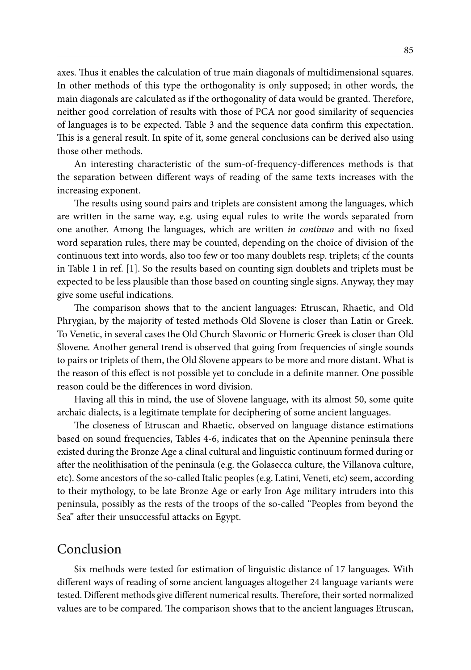axes. Thus it enables the calculation of true main diagonals of multidimensional squares. In other methods of this type the orthogonality is only supposed; in other words, the main diagonals are calculated as if the orthogonality of data would be granted. Therefore, neither good correlation of results with those of PCA nor good similarity of sequencies of languages is to be expected. Table 3 and the sequence data confirm this expectation. This is a general result. In spite of it, some general conclusions can be derived also using those other methods.

An interesting characteristic of the sum-of-frequency-differences methods is that the separation between different ways of reading of the same texts increases with the increasing exponent.

The results using sound pairs and triplets are consistent among the languages, which are written in the same way, e.g. using equal rules to write the words separated from one another. Among the languages, which are written *in continuo* and with no fixed word separation rules, there may be counted, depending on the choice of division of the continuous text into words, also too few or too many doublets resp. triplets; cf the counts in Table 1 in ref. [1]. So the results based on counting sign doublets and triplets must be expected to be less plausible than those based on counting single signs. Anyway, they may give some useful indications.

The comparison shows that to the ancient languages: Etruscan, Rhaetic, and Old Phrygian, by the majority of tested methods Old Slovene is closer than Latin or Greek. To Venetic, in several cases the Old Church Slavonic or Homeric Greek is closer than Old Slovene. Another general trend is observed that going from frequencies of single sounds to pairs or triplets of them, the Old Slovene appears to be more and more distant. What is the reason of this effect is not possible yet to conclude in a definite manner. One possible reason could be the differences in word division.

Having all this in mind, the use of Slovene language, with its almost 50, some quite archaic dialects, is a legitimate template for deciphering of some ancient languages.

The closeness of Etruscan and Rhaetic, observed on language distance estimations based on sound frequencies, Tables 4-6, indicates that on the Apennine peninsula there existed during the Bronze Age a clinal cultural and linguistic continuum formed during or after the neolithisation of the peninsula (e.g. the Golasecca culture, the Villanova culture, etc). Some ancestors of the so-called Italic peoples (e.g. Latini, Veneti, etc) seem, according to their mythology, to be late Bronze Age or early Iron Age military intruders into this peninsula, possibly as the rests of the troops of the so-called "Peoples from beyond the Sea" after their unsuccessful attacks on Egypt.

# Conclusion

Six methods were tested for estimation of linguistic distance of 17 languages. With different ways of reading of some ancient languages altogether 24 language variants were tested. Different methods give different numerical results. Therefore, their sorted normalized values are to be compared. The comparison shows that to the ancient languages Etruscan,